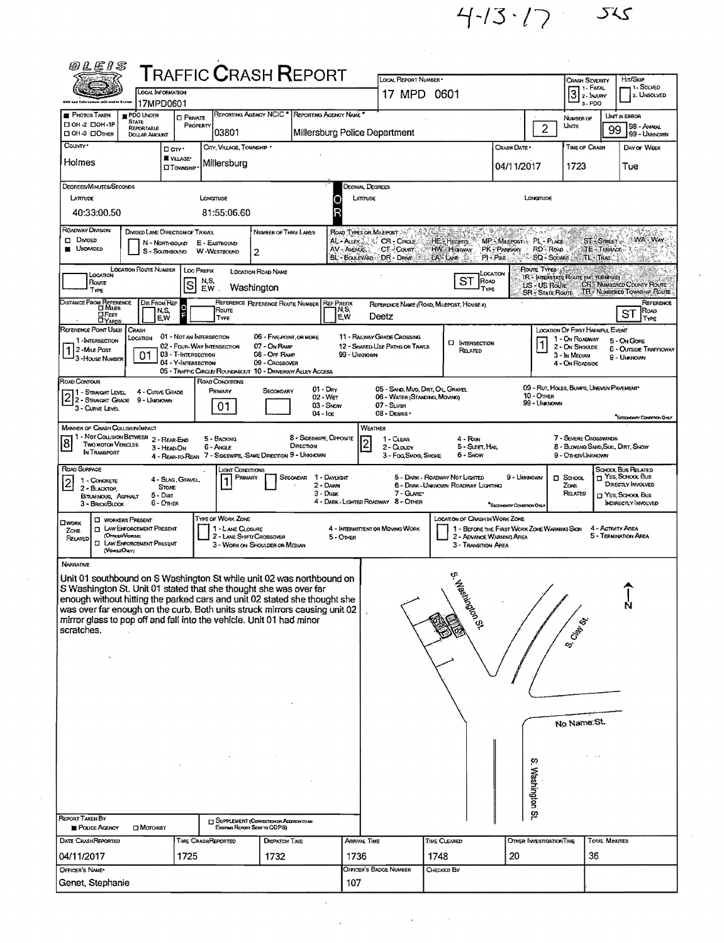$4-13-17$  545

|                                                                                                                                                                                                                                                                                                                                                                                                                 | LOCAL INFORMATION                                                                                    | <b>TRAFFIC CRASH REPORT</b>                                                                          |                                                                             |                                                                  |                                   | LOCAL REPORT NUMBER<br>17 MPD 0601                                                                          |                                                                                                                                         |                                                       |                                                       | <b>CRASH SEVERITY</b><br>1 1 - Fatal<br>$3$ $\frac{1.17}{2.1}$ TATAL                                           |                                                             | Hrt/Skip<br>1- SOLVED<br>2. LINSOLVED                                 |
|-----------------------------------------------------------------------------------------------------------------------------------------------------------------------------------------------------------------------------------------------------------------------------------------------------------------------------------------------------------------------------------------------------------------|------------------------------------------------------------------------------------------------------|------------------------------------------------------------------------------------------------------|-----------------------------------------------------------------------------|------------------------------------------------------------------|-----------------------------------|-------------------------------------------------------------------------------------------------------------|-----------------------------------------------------------------------------------------------------------------------------------------|-------------------------------------------------------|-------------------------------------------------------|----------------------------------------------------------------------------------------------------------------|-------------------------------------------------------------|-----------------------------------------------------------------------|
| <b>PHOTOS TAKEN</b><br>PDO UNDER                                                                                                                                                                                                                                                                                                                                                                                | 17MPD0601                                                                                            | REPORTING AGENCY NCIC <sup>*</sup>                                                                   |                                                                             | <b>REPORTING AGENCY NAME</b>                                     |                                   |                                                                                                             |                                                                                                                                         |                                                       |                                                       | $3 - PDO$                                                                                                      | <b>UNIT IN ERROR</b>                                        |                                                                       |
| <b>STATE</b><br><b>OH-2 DOH-1P</b><br>REPORTABLE<br>□ ОН-3 □ Отнев                                                                                                                                                                                                                                                                                                                                              | <b>CI PRIVATE</b><br>PROPERTY                                                                        | 03801                                                                                                |                                                                             |                                                                  |                                   | Millersburg Police Department                                                                               |                                                                                                                                         |                                                       | $\overline{2}$                                        | NUMBER OF<br><b>UMTS</b>                                                                                       | 99                                                          | 98 - ANIMAL<br>99 - Ureorown                                          |
| <b>DOLLAR AMOUNT</b><br>COUNTY*                                                                                                                                                                                                                                                                                                                                                                                 | O <sub>cn</sub> .                                                                                    | CITY, VILLAGE, TOWNSHIP *                                                                            |                                                                             |                                                                  |                                   |                                                                                                             |                                                                                                                                         | CRASH DATE *                                          |                                                       | <b>TIME OF CRASH</b>                                                                                           |                                                             | DAY OF WEEK                                                           |
| Holmes                                                                                                                                                                                                                                                                                                                                                                                                          | <b>K</b> VILLAGE*<br><b>CITOWNSHIP</b>                                                               | Millersburg                                                                                          |                                                                             |                                                                  |                                   |                                                                                                             |                                                                                                                                         | 04/11/2017                                            |                                                       | 1723                                                                                                           |                                                             | Tue                                                                   |
| DEGREES/MINUTES/SECONDS<br>LATITUDE                                                                                                                                                                                                                                                                                                                                                                             |                                                                                                      | LONGTUDE                                                                                             |                                                                             |                                                                  | <b>DECIMAL DEGREES</b><br>LATTUDE |                                                                                                             |                                                                                                                                         |                                                       | Lowarrupe                                             |                                                                                                                |                                                             |                                                                       |
| 40:33:00.50                                                                                                                                                                                                                                                                                                                                                                                                     |                                                                                                      | 81:55:06.60                                                                                          |                                                                             |                                                                  |                                   |                                                                                                             |                                                                                                                                         |                                                       |                                                       |                                                                                                                |                                                             |                                                                       |
| ROADWAY DIVISION<br><b>D</b> DIVIDED<br><b>B</b> UNDIVIDED                                                                                                                                                                                                                                                                                                                                                      | DIVIDED LANE DIRECTION OF TRAVEL<br>N - NORTHBOUND<br>S - SouthBound                                 | E - EASTBOUND<br>W-WESTBOUND                                                                         | <b>NUMBER OF THRU LAMES</b><br>2                                            |                                                                  | AV-AVENUE                         | ROAD TYPES OR MILEPOST<br>AL-ALLEY SENT CR-CIRCLE<br>∕CT- <sup>2</sup> Court<br>BL BOULEVARD OR - DRIVE IT! | HE Hearns<br>HW-Highway<br>LA Live                                                                                                      | $PI - P$ ike                                          | MP-MILEPOST PL-PUCE<br>PK - PARKWAY RD - ROAD         | SQ - SOUARE TL - TRAIL                                                                                         | ST-STREET<br>TE-TERRACE                                     | <b>MA-WAY</b>                                                         |
| LOCATION ROUTE NUMBER<br>LOCATION<br>Roure<br>TYPE                                                                                                                                                                                                                                                                                                                                                              | <b>LOC PREFIX</b><br>S                                                                               | N,S,<br>Washington<br>$E.W$ .                                                                        | <b>LOCATION ROAD NAME</b>                                                   |                                                                  |                                   |                                                                                                             | SТ<br><b>IROAD</b><br>TYPE                                                                                                              | Location                                              | Route TYPES<br>US - US Route<br><b>SR-STATE ROUTE</b> | IR <sup>%</sup> INTERSTATE ROUTE (INC. TURNPUCE)                                                               |                                                             | <b>CR- NUMBERED COUNTY ROUTE</b><br>TR - NUMBERED TOWNSHIP ROUTE      |
| DISTANCE FROM REFERENCE<br>OFerr<br><b>UYARDS</b>                                                                                                                                                                                                                                                                                                                                                               | <b>DIR FROM REF</b><br>N,S,<br>EW                                                                    | Route<br>TYPE                                                                                        |                                                                             | REFERENCE REFERENCE ROUTE NUMBER REF PREFIX                      | N,S,<br>EW                        | Deetz                                                                                                       | REFERENCE NAME (ROAD, MILEPOST, HOUSE #)                                                                                                |                                                       |                                                       |                                                                                                                |                                                             | Reference<br>ROAD<br>ST<br><b>TYPE</b>                                |
| REFERENCE POINT USED<br>CRASH<br>LOCATION<br>1-INTERSECTION<br>1 2 - MILE POST<br>01<br>3 - House Number                                                                                                                                                                                                                                                                                                        | 01 - NOT AN INTERSECTION<br>02 - Four-Way Intersection<br>03 - T-INTERSECTION<br>04 - Y-INTERSECTION | 05 - TRAFFIC CIRCLE/ ROUNDABOUT 10 - DRIVEWAY/ ALLEY ACCESS                                          | 06 - FIVE-POINT, OR MORE<br>07 - On RAMP<br>08 - OFF RAMP<br>09 - Crossover |                                                                  | 99 - UNKNOWN                      | 11 - RAILWAY GRADE CROSSING<br>12 - SHARED-USE PATHS OR TRAILS                                              | <b>U</b> INTERSECTION<br>RELATED                                                                                                        |                                                       |                                                       | <b>LOCATION OF FIRST HARMFUL EVENT</b><br>1 - ON ROADWAY<br>2 - ON SHOULDE<br>3 - In Median<br>4 - ON ROADSIDE |                                                             | 5 - On Gone<br><b>6 - OUTSIDE TRAFFICWAY</b><br>9 - UNKNOWN           |
| ROAD CONTOUR<br>11 - Straight Level<br>2 2 - STRAIGHT LEVEL 4 - CURVE CH<br>3 - Curve Level                                                                                                                                                                                                                                                                                                                     | 4 - CURVE GRADE                                                                                      | ROAD CONDITIONS<br>PRIMARY<br>01                                                                     | SECONDARY                                                                   | $01 - \text{Dry}$<br>$02 - W_{ET}$<br>$03 -$ SNOW<br>$04 - \log$ |                                   | 05 - SAND, MUD, DIRT, OIL, GRAVEL<br>06 - WATER (STANDING, MOVING)<br>07 - SLUSH<br>08 - DEBRIS             |                                                                                                                                         |                                                       | <b>10 - OTHER</b><br>99 - Unknown                     | 09 - RUT, HOLES, BUMPS, UNEVEN PAVEMENT                                                                        |                                                             | <b>SECONDARY CONDITION ONLY</b>                                       |
| <b>MANNER OF CRASH COLLISION/IMPACT</b><br>1 - Not Collision Between 2 - Rear-End<br>8<br><b>TWO MOTOR VEHICLES</b><br>IN TRANSPORT                                                                                                                                                                                                                                                                             | 3 - HEAD-ON                                                                                          | 5 - BACKING<br>6 - Angle<br>4 - Rear-to-Rear 7 - Sideswipe, Same Direction 9 - Unknown               |                                                                             | 8 - SIDESWIPE, OPPOSITE<br>DIRECTION                             |                                   | WEATHER<br>1 - Clear<br>2 - CLOUDY<br>3 - Fog, Smog, Smoke                                                  | 4 - RAIN<br>5 - SLEET, HAL<br>6 - Snow                                                                                                  |                                                       |                                                       | 7 - Severe Crosswinds<br>8 - BLOWING SAND, SOIL, DRT, SNOW<br>9 - OTHER/UNKNOWN                                |                                                             |                                                                       |
| ROAD SURFACE<br>1 CONCRETE<br>2 - BLACKTOP<br>BITUMINOUS, ASPHALT<br>3 - BRICK/BLOCK                                                                                                                                                                                                                                                                                                                            | 4 - SLAG GRAVEL<br><b>STONE</b><br>$5 - \text{Dart}$<br>6 - Other                                    | Light Condmons<br>PRIMARY                                                                            |                                                                             | <b>SECONDAR</b><br>1 - Dayught<br>2 - Dawn<br>$3 - D$ usk        |                                   | 7 - GLARE<br>4 - DARK - LIGHTED ROADWAY 8 - OTHER                                                           | 5 - DARK - ROADWAY NOT LIGHTED<br>6 - DARK - UNKNOWN ROADWAY LIGHTING                                                                   | 9 - Unknown<br><sup>*</sup> Secondiary Condition Only |                                                       | $\square$ School<br>ZONE<br>RELATED                                                                            | <b>TT YES, SCHOOL BUS</b><br><sup>[2]</sup> YES, SCHOOL Bus | SCHOOL BUS RELATED<br>DIRECTLY INVOLVED<br><b>INDIRECTLY INVOLVED</b> |
| <b>CI WORKERS PRESENT</b><br><b>OWORK</b><br><b>CI LAW ENFORCEMENT PRESENT</b><br>ZONE<br>(OrrosnVencus)<br>RELATED<br><b>CI LAW ENFORCEMENT PRESENT</b><br>(VergeOner)                                                                                                                                                                                                                                         |                                                                                                      | TYPE OF WORK ZONE<br>1 - LANE CLOSURE<br>2 - LANE SHIFTY CROSSOVER<br>3 - WORK ON SHOULDER OR MEDIAN |                                                                             |                                                                  | 5 - OTHER                         | 4 - INTERMITTENT OR MOVING WORK                                                                             | <b>LOCATION OF CRASH IN WORK ZONE</b><br>1 - BEFORE THE FIRST WORK ZONE WARNING SIGN<br>2 - ADVANCE WARNING AREA<br>3 - Transition Area |                                                       |                                                       |                                                                                                                | 4 - ACTIVITY AREA<br>5 - TERMINATION AREA                   |                                                                       |
| <b>NARRATIVE</b><br>Unit 01 southbound on S Washington St while unit 02 was northbound on<br>S Washington St. Unit 01 stated that she thought she was over far<br>enough without hitting the parked cars and unit 02 stated she thought she<br>was over far enough on the curb. Both units struck mirrors causing unit 02<br>mirror glass to pop off and fall into the vehicle. Unit 01 had minor<br>scratches. |                                                                                                      |                                                                                                      |                                                                             |                                                                  |                                   |                                                                                                             | S. Washington S.                                                                                                                        |                                                       |                                                       | S. Crawn St                                                                                                    |                                                             | Ń                                                                     |
| <b>REPORT TAKEN BY</b><br><b>BE POLICE AGENCY</b><br>$\square$ Motorist                                                                                                                                                                                                                                                                                                                                         |                                                                                                      | <sup>1</sup> SUPPLEMENT (CORRECTION OR ADDITIONATION)<br>Exame Report Seve to ODPS)                  |                                                                             |                                                                  |                                   |                                                                                                             |                                                                                                                                         |                                                       | Washington St                                         | No Name St.                                                                                                    |                                                             |                                                                       |
| DATE CRASHREPORTED                                                                                                                                                                                                                                                                                                                                                                                              |                                                                                                      | TIME CRASHPLEPORTED                                                                                  | DISPATCH TIME                                                               |                                                                  | Arrival Time                      |                                                                                                             | TIME CLEARED                                                                                                                            |                                                       | OTHER INVESTIGATION TIME                              |                                                                                                                | <b>TOTAL MINUTES</b>                                        |                                                                       |
| 04/11/2017                                                                                                                                                                                                                                                                                                                                                                                                      | 1725                                                                                                 |                                                                                                      | 1732                                                                        |                                                                  | 1736                              |                                                                                                             | 1748                                                                                                                                    | 20                                                    |                                                       | 36                                                                                                             |                                                             |                                                                       |
| OFFICER'S NAME*<br>Genet, Stephanie                                                                                                                                                                                                                                                                                                                                                                             |                                                                                                      |                                                                                                      |                                                                             |                                                                  | 107                               | Officer's Badge Number                                                                                      | CHECKED BY                                                                                                                              |                                                       |                                                       |                                                                                                                |                                                             |                                                                       |

 $\mathcal{L}^{\text{max}}_{\text{max}}$  and  $\mathcal{L}^{\text{max}}_{\text{max}}$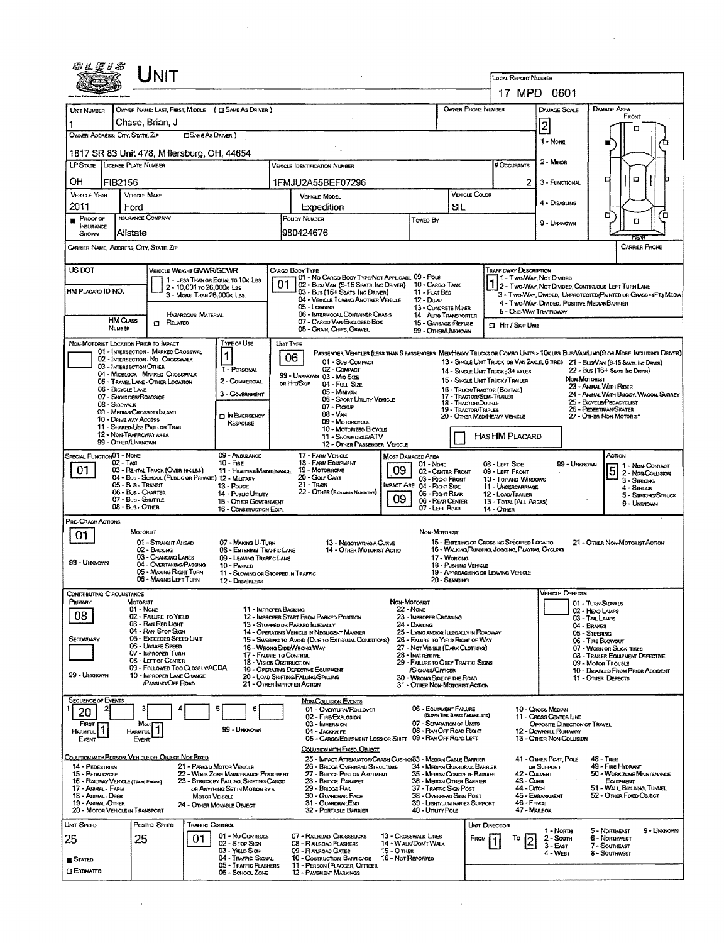|                                                        | ${\sf LInt}$                                                                           |                                                                                |                                                                                                          |                                                      |                                                              |                                                                     |                                                 |                                                                                          |                                                                                                                             |  |  |
|--------------------------------------------------------|----------------------------------------------------------------------------------------|--------------------------------------------------------------------------------|----------------------------------------------------------------------------------------------------------|------------------------------------------------------|--------------------------------------------------------------|---------------------------------------------------------------------|-------------------------------------------------|------------------------------------------------------------------------------------------|-----------------------------------------------------------------------------------------------------------------------------|--|--|
|                                                        |                                                                                        |                                                                                |                                                                                                          |                                                      |                                                              |                                                                     | LOCAL REPORT NUMBER                             |                                                                                          |                                                                                                                             |  |  |
|                                                        |                                                                                        |                                                                                |                                                                                                          |                                                      |                                                              |                                                                     |                                                 | 17 MPD 0601                                                                              |                                                                                                                             |  |  |
| UMT NUMBER                                             | OWNER NAME: LAST, FIRST, MIDDLE ( C SAME AS DRIVER )<br>Chase, Brian, J                |                                                                                |                                                                                                          |                                                      |                                                              | OWNER PHONE NUMBER                                                  |                                                 | DAMAGE SCALE                                                                             | DAMAGE AREA<br>Front                                                                                                        |  |  |
| OWNER ADDRESS: CITY, STATE, ZIP                        | <b>CISAME AS DRIVER</b> )                                                              |                                                                                |                                                                                                          |                                                      |                                                              |                                                                     |                                                 | 2                                                                                        | o                                                                                                                           |  |  |
|                                                        | 1817 SR 83 Unit 478, Millersburg, OH, 44654                                            |                                                                                |                                                                                                          |                                                      |                                                              |                                                                     |                                                 | 1 - Nove                                                                                 |                                                                                                                             |  |  |
| LP STATE LIGENSE PLATE NUMBER                          |                                                                                        |                                                                                | <b>VEHICLE IDENTIFICATION NUMBER</b>                                                                     |                                                      |                                                              |                                                                     | # Occupants                                     | 2 - Minon                                                                                |                                                                                                                             |  |  |
| OН<br>FIB2156                                          |                                                                                        |                                                                                | 1FMJU2A55BEF07296                                                                                        |                                                      |                                                              |                                                                     | 2.                                              | 3 - FUNCTIONAL                                                                           | α<br>α                                                                                                                      |  |  |
| <b>VEHICLE YEAR</b>                                    | <b>VEHICLE MAKE</b>                                                                    |                                                                                | <b>VEHICLE MODEL</b>                                                                                     |                                                      |                                                              | VEHICLE COLOR                                                       |                                                 | 4 - DISABLING                                                                            |                                                                                                                             |  |  |
| 2011<br>$P_{ROOF}$                                     | Ford<br>INSURANCE COMPANY                                                              |                                                                                | Expedition<br>POLICY NUMBER                                                                              | TOWED BY                                             | SIL                                                          |                                                                     |                                                 |                                                                                          | σ<br>ά                                                                                                                      |  |  |
| <b>INSURANCE</b><br>SHOWN                              | Allstate                                                                               |                                                                                | 980424676                                                                                                |                                                      |                                                              |                                                                     |                                                 | 9 - UNKNOWN                                                                              | O<br>ਸਾਜ਼ਮ                                                                                                                  |  |  |
| CARRIER NAME, ADORESS, CITY, STATE, ZIP                |                                                                                        |                                                                                |                                                                                                          |                                                      |                                                              |                                                                     |                                                 |                                                                                          | <b>CARRIER PHONE</b>                                                                                                        |  |  |
| US DOT                                                 | VEHICLE WEIGHT GWWR/GCWR                                                               |                                                                                | CARGO BODY TYPE                                                                                          |                                                      |                                                              |                                                                     | <b>TRAFFICWAY DESCRIPTION</b>                   |                                                                                          |                                                                                                                             |  |  |
|                                                        | 2 - 10,001 To 26,000K Las                                                              | 1 - LESS THAN OR EQUAL TO 10K LBS                                              | 01 - No CARGO BOOY TYPE/NOT APPLICABL 09 - POLE<br>02 - Bus/Van (9-15 Seats, Inc Driver) 10 - Cargo Tanx |                                                      |                                                              |                                                                     | 11 - Two Way, Not Divideo                       |                                                                                          | 1 2 - TWO WAY, NOT DIVIDED, CONTINUOUS LEFT TURN LANE                                                                       |  |  |
| HM PLACARD ID NO.                                      | 3 - MORE THAN 26,000K LBS.                                                             |                                                                                | 03 - Bus (16+ Seats, Inc Driver)<br>04 - VEHICLE TOWING ANOTHER VEHICLE                                  | 12 - Оцир                                            | 11 - FLAT BED                                                |                                                                     |                                                 | 4 - Two-Way, Divided, Positive Median Barrier                                            | 3 - Two-Way, Divided, UNPROTECTED (PAINTED OR GRASS > FT.) MEDIA                                                            |  |  |
| <b>HM CLASS</b>                                        | <b>HAZARDOUS MATERIAL</b>                                                              |                                                                                | 05 - Locomo<br>06 - INTERMODAL CONTAINER CHASIS                                                          |                                                      | 13 - CONCRETE MIXER<br><b>14 - AUTO TRANSPORTER</b>          |                                                                     | 5 - ONE-WAY TRAFFICWAY                          |                                                                                          |                                                                                                                             |  |  |
| NUMBER                                                 | CI RELATED                                                                             |                                                                                | 07 - CARGO VAN ENCLOSED BOX<br>08 - GRAIN, CHIPS, GRAVEL                                                 |                                                      | 15 - GARBAGE REFUSE<br>99 - Omer/Unionown                    |                                                                     | <b>D</b> Hrt / Skip UMT                         |                                                                                          |                                                                                                                             |  |  |
| NON-MOTORIST LOCATION PRICA TO IMPACT                  | 01 - INTERSECTION - MARKED CROSSWAL                                                    | Type or Use                                                                    | <b>UNIT TYPE</b>                                                                                         |                                                      |                                                              |                                                                     |                                                 |                                                                                          | Passenger Vehicles (less than 9 passengers MedAleavy Trucks or Combo Units > 10k lis BusManAlmo(9 or More Including Driver) |  |  |
|                                                        | 02 - INTERSECTION - NO CROSSWALK<br>03 - INTERSECTION OTHER                            |                                                                                | 06<br>01 - Sub-COMPACT<br>02 - COMPACT                                                                   |                                                      |                                                              |                                                                     |                                                 |                                                                                          | 13 - SINGLE UNIT TRUCK OR VAN 2AXLE, 6 THES 21 - BUS/VAN (9-15 Seats, INC DRIVER)                                           |  |  |
|                                                        | 04 - MIDBLOCK - MARKED CROSSWALK<br>05 - TRAVEL LANE - OTHER LOCATION                  | 1 - PERSONAL<br>2 - COMMERCIAL                                                 | 99 - UNKNOWN 03 - MIO SIZE<br>or Hit/Skip<br>04 - Full Size                                              |                                                      |                                                              | 14 - SINGLE UNIT TRUCK : 3+ AXLES<br>15 - SINGLE UNIT TRUCK/TRAILER |                                                 | Non-Motorist                                                                             | 22 - BUS (16+ Seats, Inc Draver)                                                                                            |  |  |
| 06 - BICYCLE LANE                                      | 07 - SHOULDER/ROADSIDE                                                                 | 3 - Government                                                                 | 05 - Minevan<br>06 - Sport Unury Verscue                                                                 |                                                      |                                                              | 16 - TRUCK/TRACTOR (BOBTAIL)<br>17 - TRACTOR/SEMI TRAILER           |                                                 |                                                                                          | 23 - ANNAL WITH RIDER<br>24 - ANIMAL WITH BUGGY, WAGON, SURREY                                                              |  |  |
| 08 - Sidewalk                                          | 09 - MEDIAN CROSSING ISLAND                                                            | <b>DIN EMERGENCY</b>                                                           | 07 - Pickup<br>$08 - VAN$                                                                                |                                                      |                                                              | <b>18 - TRACTOR/DOUBLE</b><br><b>19 - TRACTOR/TRIPLES</b>           |                                                 |                                                                                          | 25 - BICYCLE/PEDACYCLIST<br>26 - PEDESTRIAN SKATER<br>27 - OTHER NON-MOTORIST                                               |  |  |
| 10 - DRIVE WAY ACCESS                                  | 11 - SHARED USE PATH OR TRAIL                                                          | RESPONSE                                                                       | 09 - Motorcycle<br>10 - MOTORIZEO BICYCLE                                                                |                                                      |                                                              | 20 - Other MediHeavy Vericle                                        |                                                 |                                                                                          |                                                                                                                             |  |  |
| 99 - OTHER/UNKNOWN                                     | 12 - NON-TRAFFICWAY AREA                                                               |                                                                                | 11 - SNOWMOBILE/ATV<br>12 - OTHER PASSENGER VEHICLE                                                      |                                                      |                                                              |                                                                     | <b>HASHM PLACARD</b>                            |                                                                                          |                                                                                                                             |  |  |
| SPECIAL FUNCTION 01 - NONE<br>02 - Taxi                |                                                                                        | 09 - AMBULANCE<br>10 - Fine                                                    | 17 - FARM VEHICLE<br>18 - FARM EQUIPMENT                                                                 | Most Damaged Area                                    | 01 - NONE                                                    |                                                                     | 08 - LEFT SIDE                                  | 99 - Unknown                                                                             | Action                                                                                                                      |  |  |
| O1                                                     | 03 - RENTAL TRUCK (OVER 10KLBS)<br>04 - Bus - School (Public or Private) 12 - MILITARY | 11 - HIGHWAY/MAINTENANCE                                                       | 19 - Мотопноме<br>20 - Gour Cart                                                                         | 09                                                   | 02 - CENTER FRONT<br>03 - Right Front                        |                                                                     | 09 LEFT FRONT<br>10 - TOP AND WINDOWS           |                                                                                          | 1 - NON-CONTACT<br>5 <sup>1</sup><br>2 - NON-COLUSION<br>3 - Striking                                                       |  |  |
|                                                        | 05 - Bus - Transit<br>06 - Bus - Charter                                               | 13 - Pouce<br>14 - PUBLIC UTILITY                                              | 21 TRAIN<br>22 - OTHER (EXPLASIVE MARKATIVE)                                                             | IMPACT ARE 04 - PLOHT SIDE                           | 05 - Right Rear                                              |                                                                     | 11 - UNDERCARRIAGE<br>12 - LOAD/TRAILER         |                                                                                          | 4 - Struck<br>5 - STRIKING/STRUCK                                                                                           |  |  |
|                                                        | 07 - Bus - SHUTTLE<br>08 - Bus - Other                                                 | 15 - OTHER GOVERNMENT<br>16 - CONSTRUCTION EOIP.                               |                                                                                                          | 09                                                   | 06 - REAR CENTER<br>07 - LEFT REAR                           |                                                                     | 13 - TOTAL (ALL AREAS)<br>$14 -$ OTHER          |                                                                                          | 9 - Unknown                                                                                                                 |  |  |
| PRE-CRASH ACTIONS                                      |                                                                                        |                                                                                |                                                                                                          |                                                      |                                                              |                                                                     |                                                 |                                                                                          |                                                                                                                             |  |  |
| 01                                                     | MOTORIST<br>01 - STRAIGHT ANEAD                                                        | 07 - MAKING U-TURN                                                             | 13 - NEGOTIATING A CURVE                                                                                 |                                                      | NON-MOTORIST                                                 |                                                                     | 15 - ENTERING OR CROSSING SPECIFIED LOCATIO     |                                                                                          | 21 - OTHER NON-MOTORIST ACTION                                                                                              |  |  |
|                                                        | 02 - BACKING<br>03 - Changing Lanes                                                    | 08 - ENTERING TRAFFIC LANE<br>09 - LEAVING TRAFFIC LANE                        | 14 - Other Motorist Actio                                                                                |                                                      | 17 - WORKING                                                 |                                                                     | 16 - WALKING RUNNING, JOGGING, PLAYING, CYCLING |                                                                                          |                                                                                                                             |  |  |
| 99 - Unknown                                           | 04 - OVERTAKING/PASSING<br>05 - Making Right Turn                                      | 10 - PARKED<br>11 - SLOWING OR STOPPED IN TRAFFIC                              |                                                                                                          |                                                      | 18 - Pushing Vehicle                                         | 19 - APPROACHING OR LEAVING VEHICLE                                 |                                                 |                                                                                          |                                                                                                                             |  |  |
| Contributing Circumstance                              | 06 - MAKING LEFT TURN                                                                  | 12 - DRIVERLESS                                                                |                                                                                                          |                                                      | 20 - Standing                                                |                                                                     |                                                 | <b>VEHICLE DEFECTS</b>                                                                   |                                                                                                                             |  |  |
| PRIMARY                                                | MOTORIST<br>$01 - None$                                                                |                                                                                | 11 - Improper Backing                                                                                    | NON-MOTORIST<br>22 - None                            |                                                              |                                                                     |                                                 |                                                                                          | 01 - TURN SIGNALS<br>02 - HEAD LAMPS                                                                                        |  |  |
| 08                                                     | 02 - FAILURE TO YIELD<br>03 - RAN RED LIGHT                                            |                                                                                | 12 - IMPROPER START FROM PARKED POSTION<br>13 - STOPPED OR PARKED ILLEGALLY                              | 23 - IMPROPER CROSSING<br>24 - Darting               |                                                              |                                                                     |                                                 |                                                                                          | 03 - TAIL LAMPS<br>04 - BRAKES                                                                                              |  |  |
| SECONDARY                                              | 04 - RAN STOP SIGN<br>05 - Exceeded Speed Limit                                        |                                                                                | 14 - Operating Vehicle in Negligent Manner<br>15 - Swering to Avoid (Due to External Conditions)         | 26 - FALURE TO YIELD RIGHT OF WAY                    |                                                              | 25 - LYING ANDIOR ILLEGALLY IN ROADWAY                              |                                                 |                                                                                          | 05 - STEERING<br>06 - TIRE BLOWOUT                                                                                          |  |  |
|                                                        | 06 - UNSAFE SPEED<br>07 - IMPROPER TURN                                                |                                                                                | 16 - WRONG SIDEAVRONG WAY<br>17 - FALURE TO CONTROL                                                      | 27 - NOT VISIBLE (DARK CLOTHING)<br>28 - INATTENTIVE |                                                              |                                                                     |                                                 |                                                                                          | 07 - WORN OR SLICK TIRES<br>08 - TRAILER EQUIPMENT DEFECTIVE                                                                |  |  |
|                                                        | 08 - LEFT OF CENTER<br>09 - FOLLOWED TOO CLOSELY/ACDA                                  |                                                                                | 18 - Vision Obstruction<br>19 - OPERATING DEFECTIVE EQUIPMENT                                            | 29 - FAILURE TO OBEY TRAFFIC SIGNS                   | /SIGNALS/OFFICER                                             |                                                                     |                                                 |                                                                                          | 09 - Motor Trouble<br>10 - DISABLED FROM PRIOR ACCIDENT                                                                     |  |  |
| 99 - Umaxown                                           | 10 - IMPROPER LANE CHANGE<br>PASSING OFF ROAD                                          |                                                                                | 20 - LOAD SHIFTING/FALLING/SPILLING<br>21 - OTHER IMPROPER ACTION                                        |                                                      | 30 - Wrong Sof of the Road<br>31 - OTHER NON-MOTORIST ACTION |                                                                     |                                                 |                                                                                          | 11 - OTHER DEFECTS                                                                                                          |  |  |
| <b>SEQUENCE OF EVENTS</b>                              |                                                                                        |                                                                                | NON-COLUSION EVENTS                                                                                      |                                                      |                                                              |                                                                     |                                                 |                                                                                          |                                                                                                                             |  |  |
| 20                                                     |                                                                                        |                                                                                | 01 - Overturn/Rollover<br>02 - FIRE/EXPLOSION                                                            |                                                      | 06 - EQUIPMENT FAILURE<br>(BLOWN TIRE, BRAKE FALLIRE, ETC)   |                                                                     |                                                 | 10 - Cross Median<br>11 - Cross Center Line                                              |                                                                                                                             |  |  |
| FIRST<br>Harmful,                                      | Most<br>HARMFUL <sup>1</sup>                                                           | 99 - Unknown                                                                   | 03 - IMMERSION<br>04 - JACKKNIFE<br>05 - CARGO/EQUIPMENT LOSS OR SHIFT 09 - RAN OFF ROAD LEFT            |                                                      | 07 - SEPARATION OF UNITS<br>08 - RAN OFF ROAD RIGHT          |                                                                     |                                                 | <b>OPPOSITE DIRECTION OF TRAVEL</b><br>12 - DOWNNILL RUNAWAY<br>13 - OTHER NON-COLLISION |                                                                                                                             |  |  |
| EVENT                                                  | EVENT                                                                                  |                                                                                | COLUSION WITH FIXED, OBJECT                                                                              |                                                      |                                                              |                                                                     |                                                 |                                                                                          |                                                                                                                             |  |  |
| 14 - PEDESTRIAN                                        | COLUSION WITH PERSON, VEHICLE OR OBJECT NOT FIXED                                      | 21 - PARKED MOTOR VEHICLE                                                      | 25 - IMPACT ATTEMUATOR/CRASH CUSHION33 - MEDIAN CABLE BARRIER<br>26 - BRIDGE OVERHEAD STRUCTURE          |                                                      |                                                              | 34 - MEDIAN GUARDRAIL BARRIER                                       |                                                 | 41 - OTHER POST, POLE<br>or Support                                                      | 48 - Tree<br>49 - FIRE HYDRANT                                                                                              |  |  |
| 15 - PEDALCYCLE<br>16 - RAILWAY VEHICLE (TRUM, ENDINE) |                                                                                        | 22 - WORK ZONE MAINTENANCE EQUIPMENT<br>23 - STRUCK BY FALLING, SHIFTING CARGO | 27 - BRIDGE PIER OR ABUTMENT<br>28 - BRIDGE PARAPET                                                      |                                                      | 36 - MEDIAN OTHER BARRIER                                    | 35 - MEDIAN CONCRETE BARRIER                                        | 42 - Culvert<br>43 - Cuna                       |                                                                                          | 50 - WORK ZONE MAINTENANCE<br>EQUIPMENT                                                                                     |  |  |
| 17 - Annan - Farm<br>18 - Annual - Deer                |                                                                                        | он Амутника Set in Motion by a<br><b>MOTOR VEIGGLE</b>                         | 29 - Bridge Rail<br>30 - GUARDRAIL FACE                                                                  |                                                      | 37 - TRAFFIC SIGN POST<br>38 - Overhead Skan Post            |                                                                     | 44 - DITCH                                      | 45 - EMBANQUENT                                                                          | 51 - WALL BUILDING, TUNNEL<br>52 - OTHER FIXED OBJECT                                                                       |  |  |
| 19 - ANNAL - OTHER<br>20 - MOTOR VEHICLE IN TRANSPORT  |                                                                                        | 24 - OTHER MOVABLE OBJECT                                                      | 31 - GUARDRAILEND<br>32 - PORTABLE BARRIER                                                               |                                                      | 40 - Umury Pous                                              | 39 - LIGHT/LUMINARIES SUPPORT                                       | 46 - FENCE<br>47 - MAILBOX                      |                                                                                          |                                                                                                                             |  |  |
| <b>UNIT SPEED</b>                                      | TRAFFIC CONTROL<br>POSTED SPEED                                                        |                                                                                |                                                                                                          |                                                      |                                                              | <b>LINT DIRECTION</b>                                               |                                                 | 1 - North                                                                                | 5 - Northeast<br>9 - Unknown                                                                                                |  |  |
| 25                                                     | 25<br>01                                                                               | 01 - No Controls<br>02 - Stop Stav                                             | 07 - RAILROAD CROSSBUCKS<br>08 - RAILROAD FLASHERS                                                       | 13 - Crosswalk Lines<br>14 - WAUK/DON'T WALK         |                                                              | FROM                                                                | То<br>2                                         | $2 -$ South<br>$3 - EAF$                                                                 | 6 - Northwest<br>7 - SOUTHEAST                                                                                              |  |  |
| STATED                                                 |                                                                                        | 03 - Yieup Sion<br>04 - TRAFFIC SIGNAL<br>05 - TRAFFIC FLASHERS                | 09 - RAILROAD GATES<br>10 - Costruction Barricade<br>11 - PERSON (FLAGGER, OFFICER                       | 15 - O THER<br>16 - Not Reported                     |                                                              |                                                                     |                                                 | 4 - WEST                                                                                 | 8 - Southwest                                                                                                               |  |  |
| CI ESTIMATED                                           |                                                                                        | 06 - Saнoal Zone                                                               | <b>12 - PAVEMENT MARKINGS</b>                                                                            |                                                      |                                                              |                                                                     |                                                 |                                                                                          |                                                                                                                             |  |  |

 $\label{eq:2} \frac{1}{2} \int_{\mathbb{R}^3} \frac{1}{\sqrt{2}} \, \mathrm{d} \mu \, \mathrm{d} \mu \, \mathrm{d} \mu \, \mathrm{d} \mu \, \mathrm{d} \mu \, \mathrm{d} \mu \, \mathrm{d} \mu \, \mathrm{d} \mu \, \mathrm{d} \mu \, \mathrm{d} \mu \, \mathrm{d} \mu \, \mathrm{d} \mu \, \mathrm{d} \mu \, \mathrm{d} \mu \, \mathrm{d} \mu \, \mathrm{d} \mu \, \mathrm{d} \mu \, \mathrm{d} \mu \, \mathrm{d} \mu \, \mathrm{d} \mu \, \mathrm$ 

 $\sim 10^{11}$ 

 $\frac{1}{2} \left( \frac{1}{2} \right)$ 

 $\frac{1}{2} \sum_{i=1}^n \frac{1}{2} \sum_{j=1}^n \frac{1}{2} \sum_{j=1}^n \frac{1}{2} \sum_{j=1}^n \frac{1}{2} \sum_{j=1}^n \frac{1}{2} \sum_{j=1}^n \frac{1}{2} \sum_{j=1}^n \frac{1}{2} \sum_{j=1}^n \frac{1}{2} \sum_{j=1}^n \frac{1}{2} \sum_{j=1}^n \frac{1}{2} \sum_{j=1}^n \frac{1}{2} \sum_{j=1}^n \frac{1}{2} \sum_{j=1}^n \frac{1}{2} \sum_{j=$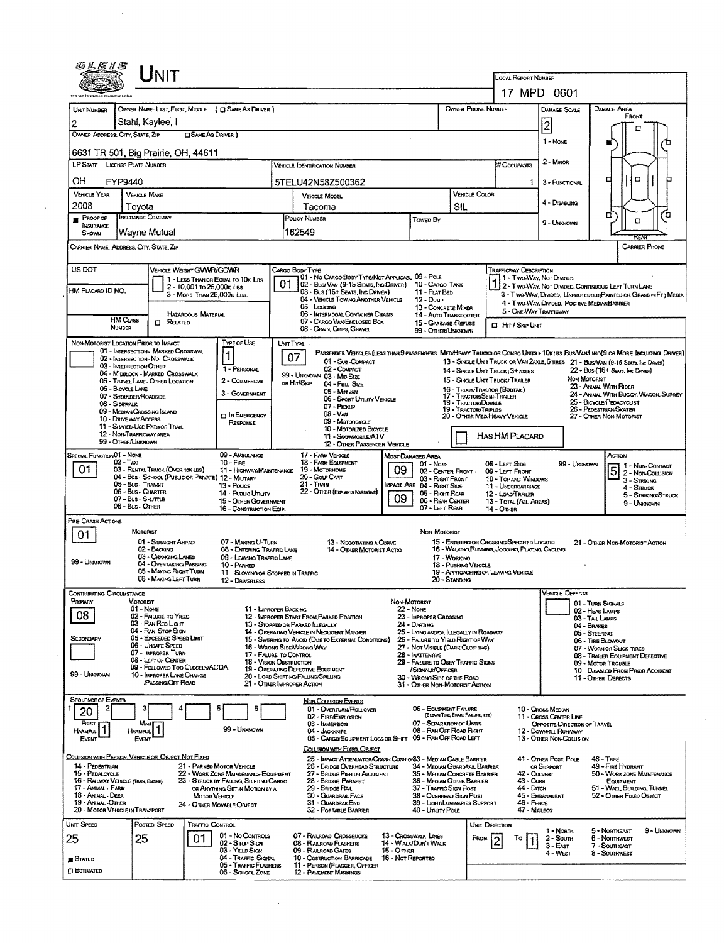|                                                                       |                                                | JNIT                                                                    |                                                         |                                                                                 |                         |                                                                          |                                                                                                 |                                 |                                                                                                                 |                                      |                                                                                        |                                                                                                 |                                                                                                                              |                                                                  |                                                       |             |
|-----------------------------------------------------------------------|------------------------------------------------|-------------------------------------------------------------------------|---------------------------------------------------------|---------------------------------------------------------------------------------|-------------------------|--------------------------------------------------------------------------|-------------------------------------------------------------------------------------------------|---------------------------------|-----------------------------------------------------------------------------------------------------------------|--------------------------------------|----------------------------------------------------------------------------------------|-------------------------------------------------------------------------------------------------|------------------------------------------------------------------------------------------------------------------------------|------------------------------------------------------------------|-------------------------------------------------------|-------------|
|                                                                       |                                                |                                                                         |                                                         |                                                                                 |                         |                                                                          |                                                                                                 |                                 |                                                                                                                 |                                      |                                                                                        | <b>LOCAL REPORT NUMBER</b>                                                                      | 17 MPD 0601                                                                                                                  |                                                                  |                                                       |             |
| UNIT NUMBER                                                           |                                                |                                                                         |                                                         | OWNER NAME: LAST, FIRST, MIDDLE ( C SAME AS DRIVER )                            |                         |                                                                          |                                                                                                 |                                 |                                                                                                                 |                                      | OWNER PHONE NUMBER                                                                     |                                                                                                 | DAMAGE SCALE                                                                                                                 | Damage Area                                                      |                                                       |             |
| 2                                                                     | Stahl, Kaylee, I                               |                                                                         |                                                         |                                                                                 |                         |                                                                          |                                                                                                 |                                 |                                                                                                                 |                                      |                                                                                        |                                                                                                 |                                                                                                                              |                                                                  | FRONT                                                 |             |
| OWNER ADDRESS: CITY, STATE, ZIP                                       |                                                |                                                                         | <b>CISAME AS DRIVER</b> )                               |                                                                                 |                         |                                                                          |                                                                                                 |                                 |                                                                                                                 |                                      |                                                                                        |                                                                                                 | 2                                                                                                                            |                                                                  |                                                       |             |
| 6631 TR 501, Big Prairie, OH, 44611                                   |                                                |                                                                         |                                                         |                                                                                 |                         |                                                                          |                                                                                                 |                                 |                                                                                                                 |                                      |                                                                                        |                                                                                                 | 1 - None                                                                                                                     |                                                                  |                                                       |             |
| LP STATE LICENSE PLATE NUMBER                                         |                                                |                                                                         |                                                         |                                                                                 |                         | <b>VEHICLE IDENTIFICATION NUMBER</b>                                     |                                                                                                 |                                 |                                                                                                                 |                                      |                                                                                        | # Occurants                                                                                     | $2 -$ MINOR                                                                                                                  |                                                                  |                                                       |             |
| OН                                                                    | FYP9440                                        |                                                                         |                                                         |                                                                                 |                         | 5TELU42N58Z500362                                                        |                                                                                                 |                                 |                                                                                                                 |                                      |                                                                                        | 1                                                                                               | 3 - FUNCTIONAL                                                                                                               | ◘                                                                | α                                                     |             |
| <b>VEHICLE YEAR</b>                                                   | <b>VEHICLE MAKE</b>                            |                                                                         |                                                         |                                                                                 |                         | VEHICLE MODEL                                                            |                                                                                                 |                                 |                                                                                                                 |                                      | <b>VEHICLE COLOR</b>                                                                   |                                                                                                 |                                                                                                                              |                                                                  |                                                       |             |
| 2008                                                                  | Toyota                                         |                                                                         |                                                         |                                                                                 |                         | Tacoma                                                                   |                                                                                                 |                                 |                                                                                                                 | SIL                                  |                                                                                        |                                                                                                 | 4 - Disabung                                                                                                                 | ם                                                                |                                                       | Έ           |
| $P$ ROOF OF<br>INSURANCE<br>SHOWN                                     |                                                | INSURANCE COMPANY<br>Wayne Mutual                                       |                                                         |                                                                                 | POLICY NUMBER<br>162549 |                                                                          |                                                                                                 | Towed By                        |                                                                                                                 |                                      |                                                                                        | 9 - UNKNOWN                                                                                     |                                                                                                                              | $\Box$                                                           |                                                       |             |
| CARRIER NAME, ADDRESS, CITY, STATE, ZIP                               |                                                |                                                                         |                                                         |                                                                                 |                         |                                                                          |                                                                                                 |                                 |                                                                                                                 |                                      |                                                                                        |                                                                                                 |                                                                                                                              |                                                                  | REA<br><b>CARRIER PHONE</b>                           |             |
| US DOT                                                                |                                                |                                                                         |                                                         |                                                                                 |                         |                                                                          |                                                                                                 |                                 |                                                                                                                 |                                      |                                                                                        |                                                                                                 |                                                                                                                              |                                                                  |                                                       |             |
|                                                                       |                                                | VEHICLE WEIGHT GWWR/GCWR                                                |                                                         | 1 - LESS THAN OR EQUAL TO 10K LBS                                               | 01                      | CARGO BODY TYPE                                                          | 01 - No CARGO BODY TYPE/NOT APPLICABL 09 - POLE                                                 |                                 |                                                                                                                 |                                      |                                                                                        | Trafficway Description                                                                          | 1 - Two-Way, Nor Divided                                                                                                     |                                                                  |                                                       |             |
| HM PLACARD ID NO.                                                     |                                                |                                                                         | 2 - 10,001 to 26,000k Las<br>3 - MORE THAN 26,000K LBS. |                                                                                 |                         |                                                                          | 02 - Busi Van (9-15 Seats, Inc Driver) 10 - Cargo Tank<br>03 - Bus (16+ Seats, Inc Driver)      |                                 | 11 - FLAT BED                                                                                                   |                                      |                                                                                        |                                                                                                 | 2 - T WO-WAY, NOT DIVIDED, CONTINUOUS LEFT TURN LANE<br>3 - T WO-WAY, DIVIDED, UNPROTECTED/PAINTED OR GRASS >4 FT.) MEDIA    |                                                                  |                                                       |             |
|                                                                       |                                                |                                                                         |                                                         |                                                                                 |                         | 05 - Locomo                                                              | 04 - VEHICLE TOWING ANOTHER VEHICLE                                                             |                                 | 12 - Dимр<br>13 - CONCRETE MIXER                                                                                |                                      |                                                                                        | 5 - ONE-WAY TRAFFICWAY                                                                          | 4 - Two-Way, DMOED, POSITIVE MEDIANBARRIER                                                                                   |                                                                  |                                                       |             |
|                                                                       | HM CLASS<br>NUMBER                             | <b>CT</b> RELATED                                                       | <b>HAZARDOUS MATERIAL</b>                               |                                                                                 |                         |                                                                          | 06 - INTERMODAL CONTAINER CHASIS<br>07 - CARGO VAN ENCLOSED BOX<br>08 - Grain, Chips, Gravel    |                                 | 14 - AUTO TRANSPORTER<br>15 - GARBAGE REFUSE                                                                    |                                      |                                                                                        | <b>D</b> Har / Skip Uker                                                                        |                                                                                                                              |                                                                  |                                                       |             |
| NON-MOTORIST LOCATION PRIOR TO IMPACT                                 |                                                |                                                                         |                                                         | Type or Use                                                                     | UNIT TYPE.              |                                                                          |                                                                                                 |                                 | 99 - OTHER/UNKNOWN                                                                                              |                                      |                                                                                        |                                                                                                 |                                                                                                                              |                                                                  |                                                       |             |
|                                                                       |                                                | 01 - INTERSECTION - MARKED CROSSWAL<br>02 - INTERSECTION - NO CROSSWALK |                                                         | 1                                                                               | 07                      |                                                                          |                                                                                                 |                                 |                                                                                                                 |                                      |                                                                                        |                                                                                                 | PASSENGER VEHICLES (LESS THAN B PASSENGERS MEDIMEANY TRUCKS OR COMBO UNITS > 10KLBS BUS/VAN/LIMO(S OR MORE INCLUDING DRIVER) |                                                                  |                                                       |             |
|                                                                       | 03 - INTERSECTION OTHER                        |                                                                         |                                                         | 1 - PERSONAL                                                                    |                         |                                                                          | 01 - Sue COMPACT<br>02 - COMPACT                                                                |                                 |                                                                                                                 |                                      |                                                                                        | 14 - SINGLE UNIT TRUCK: 3+ AXLES                                                                | 13 - SINGLE UNIT TRUCK OR VAN 2AXLE 6 TIRES 21 - BUS/VAN (9-15 Seats, Inc Dirver)                                            | 22 - Bus (16+ Seats, Inc Driver)                                 |                                                       |             |
|                                                                       | 06 - BICYCLE LANE                              | 04 - MIDBLOCK - MARKED CROSSWALK<br>05 - TRAVEL LANE - OTHER LOCATION   |                                                         | 2 - COMMERCIAL                                                                  |                         | 99 - UNKNOWN 03 - MID SIZE<br>OR HIT/SKIP                                | 04 - FutL Size                                                                                  |                                 |                                                                                                                 |                                      |                                                                                        | 15 - SINGLE UNIT TRUCK/TRAILER                                                                  |                                                                                                                              | NON-MOTORIST<br>23 - ANNAL WITH RIDER                            |                                                       |             |
|                                                                       | 07 - SHOULDER/ROADSIDE                         |                                                                         |                                                         | 3 - GOVERNMENT                                                                  |                         |                                                                          | 05 - Minivan<br>06 - Secer Unury Venicus                                                        |                                 |                                                                                                                 |                                      | 16 - TRUCK/TRACTOR (BOSTAL)<br>17 - TRACTOR/SEMI-TRAILER<br><b>18 - TRACTOR/DOUBLE</b> |                                                                                                 |                                                                                                                              | 24 - ANNAL WITH BUGGY, WAGON, SURREY<br>25 - BICYCLE/PEDACYCLIST |                                                       |             |
|                                                                       | 08 - Sidewalk<br>09 - MEDIAN CROSSING ISLAND   |                                                                         |                                                         | IN EMERGENCY                                                                    |                         |                                                                          | 07 - Pickup<br>$08 - Van$                                                                       |                                 |                                                                                                                 |                                      | 19 - TRACTOR/TRIPLES<br>20 - OTHER MEDIHEAVY VEHICLE                                   |                                                                                                 |                                                                                                                              | 26 - PEDESTRIAN SKATER<br>27 - OTHER NON-MOTORIST                |                                                       |             |
|                                                                       | 10 - DRIVE WAY ACCESS                          | 11 - SHARED-USE PATH OR TRAIL                                           |                                                         | <b>RESPONSE</b>                                                                 |                         |                                                                          | 09 - MOTORCYCLE<br>10 - Motorized Bicycle                                                       |                                 |                                                                                                                 |                                      |                                                                                        |                                                                                                 |                                                                                                                              |                                                                  |                                                       |             |
|                                                                       | 12 - NON-TRAFFICWAY AREA<br>99 - OTHER/UNKNOWN |                                                                         |                                                         |                                                                                 |                         |                                                                          | 11 - SNOWMOBILE/ATV<br>12 - OTHER PASSENGER VEHICLE                                             |                                 |                                                                                                                 |                                      |                                                                                        | HAS HM PLACARD                                                                                  |                                                                                                                              |                                                                  |                                                       |             |
| SPECIAL FUNCTION 01 - NONE                                            | $02 - T_Ax$                                    |                                                                         |                                                         | 09 - AMBULANCE<br>$10 -$ Fire                                                   |                         | 17 - FARM VEHICLE<br>18 - FARM EQUIPMENT                                 |                                                                                                 |                                 | <b>MOST DAMAGED AREA</b>                                                                                        |                                      |                                                                                        |                                                                                                 |                                                                                                                              | ACTION                                                           |                                                       |             |
| 01                                                                    |                                                | 03 - RENTAL TRUCK (OVER 10K LBS)                                        |                                                         | 11 - HIGHWAY/MAINTENANCE<br>04 - Bus - School (Public or Private) 12 - Military |                         | 19 - MOTORHOME<br>20 - Gour Cart                                         |                                                                                                 | 09                              | 01 - None<br>02 - CENTER FRONT -                                                                                |                                      |                                                                                        | 08 - LEFT SIDE<br>09 - LEFT FRONT                                                               | 99 - Unknown                                                                                                                 |                                                                  | $\overline{5}$ $\overline{2}$ - Non-Contact           |             |
|                                                                       | 05 - Bus - Transit<br>06 - Bus - Charter       |                                                                         |                                                         | 13 - Pouce                                                                      |                         | 21 - Train                                                               | 22 - OTHER (EXPLANUM NARRATIVE)                                                                 |                                 | 03 - Right Front<br><b>IMPACT ARE 04 - RIGHT SIDE</b>                                                           |                                      |                                                                                        | 10 - TOP AND WINDOWS<br>11 - UNDERCARRIAGE                                                      |                                                                                                                              |                                                                  | $3 -$ Striking<br>4 - Struck                          |             |
|                                                                       | 07 - Bus - SHUTTLE<br>08 - Bus - OTHER         |                                                                         |                                                         | 14 - Pusuc Ununy<br>15 - OTHER GOVERNMENT                                       |                         |                                                                          |                                                                                                 | 09                              | 05 - Right Rear<br>06 - REAR CENTER                                                                             |                                      |                                                                                        | 12 - LOAD/TRAILER<br>13 - TOTAL (ALL AREAS)                                                     |                                                                                                                              |                                                                  | 5 - STRIKING/STRUCK<br>9 - UNKNOWN                    |             |
| PRE-CRASH ACTIONS                                                     |                                                |                                                                         |                                                         | 16 - CONSTRUCTION EQIP.                                                         |                         |                                                                          |                                                                                                 |                                 | 07 - LEFT REAR                                                                                                  |                                      |                                                                                        | <b>14 - OTHER</b>                                                                               |                                                                                                                              |                                                                  |                                                       |             |
| 01                                                                    | MOTORIST                                       |                                                                         |                                                         |                                                                                 |                         |                                                                          |                                                                                                 |                                 | NON-MOTORIST                                                                                                    |                                      |                                                                                        |                                                                                                 |                                                                                                                              |                                                                  |                                                       |             |
|                                                                       |                                                | 01 - STRAIGHT AHEAD<br>02 - BACKING                                     |                                                         | 07 - MAKING U-TURN<br>08 - ENTERING TRAFFIC LANE                                |                         |                                                                          | 13 - Negotiating a Curve<br>14 - OTHER MOTORIST ACTIO                                           |                                 |                                                                                                                 |                                      |                                                                                        | 15 - ENTERING OR CROSSING SPECIFIED LOCATIO<br>16 - WALKING, RUNNING, JOGGING, PLAYING, CYCLING |                                                                                                                              | 21 - OTHER NON-MOTORIST ACTION                                   |                                                       |             |
| 99 - Unionown                                                         |                                                | 03 - CHANGING LANES<br>04 - OVERTAKING/PASSING                          |                                                         | 09 - LEAVING TRAFFIC LANE<br>10 - PARKED                                        |                         |                                                                          |                                                                                                 |                                 |                                                                                                                 | 17 - Working<br>18 - Pushing Vercale |                                                                                        |                                                                                                 |                                                                                                                              |                                                                  |                                                       |             |
|                                                                       |                                                | 05 - MAKING RIGHT TURN<br>06 - MAKING LEFT TURN                         |                                                         | 11 - SLOWING OR STOPPED IN TRAFFIC<br>12 - DRIVERLESS                           |                         |                                                                          |                                                                                                 |                                 |                                                                                                                 | 20 - Standing                        |                                                                                        | 19 - APPROACHING OR LEAVING VEHICLE                                                             |                                                                                                                              |                                                                  |                                                       |             |
| CONTRIBUTING CIRCUMSTANCE<br>Primary                                  | MOTORIST                                       |                                                                         |                                                         |                                                                                 |                         |                                                                          |                                                                                                 | NON-MOTORIST                    |                                                                                                                 |                                      |                                                                                        |                                                                                                 | <b>VEHICLE DEFECTS</b>                                                                                                       |                                                                  |                                                       |             |
| 08                                                                    | 01 - Nove                                      | 02 - FAILURE TO YIELD                                                   |                                                         | 11 - IMPROPER BACKING                                                           |                         | 12 - IMPROPER START FROM PARKED POSITION                                 |                                                                                                 |                                 | <b>22 - None</b><br>23 - IMPROPER CROSSING                                                                      |                                      |                                                                                        |                                                                                                 |                                                                                                                              | 01 - TURN SKSNALS<br>02 - HEAD LAMPS                             |                                                       |             |
|                                                                       |                                                | 03 - RAN RED LIGHT<br>04 - RAN STOP SIGN                                |                                                         |                                                                                 |                         | 13 - Stopped or Parked ILLEGALLY                                         |                                                                                                 |                                 | 24 - DARTING                                                                                                    |                                      |                                                                                        |                                                                                                 |                                                                                                                              | 03 - TAIL LAMPS<br>04 - BRAKES                                   |                                                       |             |
| SECONDARY                                                             |                                                | 05 - Excessed Speso Limit<br>06 - UNSAFE SPEED                          |                                                         |                                                                                 |                         | 14 - OPERATING VEHICLE IN NEGLIGENT MANNER                               | 15 - Swering to Avoid (Due to External Conditions)                                              |                                 | 25 - LYING AND/OR ILLEGALLY IN ROADWAY<br>26 - FALURE TO YIELD RIGHT OF WAY<br>27 - NOT VISIBLE (DARK CLOTHING) |                                      |                                                                                        |                                                                                                 |                                                                                                                              | 05 - Steening<br>06 - TIRE BLOWOUT                               |                                                       |             |
|                                                                       |                                                | 07 - IMPROPER TURN<br>08 - LEFT OF CENTER                               |                                                         | 17 - FALURE TO CONTROL                                                          |                         | 16 - WRONG SIDE/WRONG WAY                                                |                                                                                                 |                                 | 28 - INATTENTIVE<br>29 - FAILURE TO OBEY TRAFFIC SIGNS                                                          |                                      |                                                                                        |                                                                                                 |                                                                                                                              | 07 - WORN OR SUCK TIRES<br>08 - TRAILER EQUIPMENT DEFECTIVE      |                                                       |             |
| 99 - Unknown                                                          |                                                | 09 - FOLLOWED TOO CLOSELY/ACDA<br>10 - IMPROPER LANE CHANGE             |                                                         | 18 - VISION OBSTRUCTION                                                         |                         | 19 - OPERATING DEFECTIVE EQUIPMENT<br>20 - LOAD SHIFTING/FALUNG/SPILLING |                                                                                                 |                                 | /SIGNALS/OFFICER                                                                                                |                                      |                                                                                        |                                                                                                 |                                                                                                                              | 09 - MOTOR TROUBLE<br>10 - DISABLED FROM PRIOR ACCIDENT          |                                                       |             |
|                                                                       |                                                | PASSING/OFF ROAD                                                        |                                                         |                                                                                 |                         | 21 - OTHER IMPROPER ACTION                                               |                                                                                                 |                                 | 30 - WRONG SIDE OF THE ROAD<br>31 - OTHER NON-MOTORIST ACTION                                                   |                                      |                                                                                        |                                                                                                 |                                                                                                                              | 11 - OTHER DEFECTS                                               |                                                       |             |
| <b>SEQUENCE OF EVENTS</b>                                             |                                                |                                                                         |                                                         | 5<br>6                                                                          |                         |                                                                          | <b>NON-COLLISION EVENTS</b><br>01 - OVERTURN/ROLLOVER                                           |                                 | 06 - EQUIPMENT FAILURE                                                                                          |                                      |                                                                                        |                                                                                                 | 10 - Cross MEDIAN                                                                                                            |                                                                  |                                                       |             |
| 20<br>FIRST                                                           | Most                                           |                                                                         |                                                         |                                                                                 |                         | 03 - IMMERSION                                                           | 02 - FIRE/EXPLOSION                                                                             |                                 | 07 - SEPARATION OF UNITS                                                                                        | (BLOWN TIRE, BRAKE FAILURE, ETC)     |                                                                                        |                                                                                                 | 11 - Cross Center Line<br><b>OPPOSITE DIRECTION OF TRAVEL</b>                                                                |                                                                  |                                                       |             |
| HARMFUL <sup>1</sup><br>Event                                         | Harmful<br>EVENT                               |                                                                         |                                                         | 99 - Unknown                                                                    |                         | 04 - Jackkmee                                                            | 05 - CARGO/EQUIPMENT LOSS OR SHIFT                                                              |                                 | 08 - RAN OFF ROAD RIGHT<br>09 - RAN OFF ROAD LEFT                                                               |                                      |                                                                                        |                                                                                                 | 12 - DOWNHILL RUNAWAY<br>13 - OTHER NON-COLLISION                                                                            |                                                                  |                                                       |             |
|                                                                       |                                                |                                                                         |                                                         |                                                                                 |                         |                                                                          | COLUSION WITH FIXED, OBJECT                                                                     |                                 |                                                                                                                 |                                      |                                                                                        |                                                                                                 |                                                                                                                              |                                                                  |                                                       |             |
| COLLISION WITH PERSON, VEHICLE OR OBJECT NOT FIXED<br>14 - PEDESTRIAN |                                                |                                                                         |                                                         | 21 - PARKED MOTOR VEHICLE                                                       |                         |                                                                          | 25 - IMPACT ATTENUATOR/CRASH CUSHION33 - MEDIAN CABLE BARRIER<br>26 - BRIDGE OVERHEAD STRUCTURE |                                 | 34 - Median Guardral Barrier                                                                                    |                                      |                                                                                        |                                                                                                 | 41 - OTHER POST, POLE<br>OR SUPPORT                                                                                          | 48 - TREE<br>49 - Fine Hydrant                                   |                                                       |             |
| 15 - PEDALCYCLE<br>16 - RALWAY VEHICLE (TRAIN, ENDINE)                |                                                |                                                                         |                                                         | 22 - WORK ZONE MAINTENANCE EQUIPMENT<br>23 - STRUCK BY FALLING, SHIFTING CARGO  |                         |                                                                          | 27 - BRIDGE PIER OR ABUTHENT<br>28 - Bridge Parapet                                             |                                 | 35 - MEDIAN CONCRETE BARRIER<br>36 - Median Other Barrier                                                       |                                      |                                                                                        | 42 - CULVERT<br>43 - Curs                                                                       |                                                                                                                              |                                                                  | 50 - WORKZONE MAINTENANCE<br><b>EQUIPMENT</b>         |             |
| 17 - Angral - Farm<br>18 - Animal Deer                                |                                                |                                                                         | <b>MOTOR VEHICLE</b>                                    | OR ANYTHING SET IN MOTION BY A                                                  |                         | 29 - Bridge Rail                                                         | 30 - GUARDRAIL FACE                                                                             |                                 | 37 - Traffic Sign Post<br>38 - Overhead Sign Post                                                               |                                      |                                                                                        | 44 - Олсн                                                                                       | 45 - Euswaxenn                                                                                                               |                                                                  | 51 - WALL BUILDING, TUNNEL<br>52 - OTHER FIXED OBJECT |             |
| 19 - ANIMAL-OTHER<br>20 - MOTOR VEHICLE IN TRANSPORT                  |                                                |                                                                         |                                                         | 24 - OTHER MOVABLE OBJECT                                                       |                         |                                                                          | 31 - GUARDRAILEND<br>32 - PORTABLE BARRIER                                                      |                                 | 39 - Light/Luminaries Support<br>40 - Unury Pous                                                                |                                      |                                                                                        | 46 - FENCE<br>47 - MARBOX                                                                       |                                                                                                                              |                                                                  |                                                       |             |
| <b>UNIT SPEED</b>                                                     |                                                | POSTED SPEED                                                            | <b>TRAFFIC CONTROL</b>                                  |                                                                                 |                         |                                                                          |                                                                                                 |                                 |                                                                                                                 |                                      | UNIT DIRECTION                                                                         |                                                                                                 | 1 - Nonth                                                                                                                    | 5 - NORTHEAST                                                    |                                                       | 9 - Unknown |
| 25                                                                    | 25                                             |                                                                         | 01                                                      | 01 No Controls<br>02 - Stor Sign                                                |                         | 07 - RAUROAD CROSSBUCKS<br>08 - RALROAD FLASHERS                         |                                                                                                 |                                 | 13 - Crosswaux Lines<br><b>14 - WALK/DON'T WALK</b>                                                             |                                      | <b>FROM</b>                                                                            | To                                                                                              | $2 -$ Soum                                                                                                                   | 6 - NORTHWEST                                                    |                                                       |             |
| <b>STATED</b>                                                         |                                                |                                                                         |                                                         | 03 - YIELD SIGN<br>04 - TRAFFIC SIGNAL                                          |                         | 09 - RALROAD GATES                                                       | 10 - Costruction Barricade                                                                      | 15 - Отная<br>16 - Not Reported |                                                                                                                 |                                      |                                                                                        |                                                                                                 | $3 - East$<br>4 - West                                                                                                       | 7 - SOUTHEAST<br>8 - Southwest                                   |                                                       |             |
| $\square$ Estimated                                                   |                                                |                                                                         |                                                         | 05 - TRAFFIC FLASHERS<br>06 - SCHOOL ZONE                                       |                         | 12 - PAVEMENT MARKINGS                                                   | 11 - PERSON (FLAGGER, OFFICER                                                                   |                                 |                                                                                                                 |                                      |                                                                                        |                                                                                                 |                                                                                                                              |                                                                  |                                                       |             |
|                                                                       |                                                |                                                                         |                                                         |                                                                                 |                         |                                                                          |                                                                                                 |                                 |                                                                                                                 |                                      |                                                                                        |                                                                                                 |                                                                                                                              |                                                                  |                                                       |             |

 $\sim 10^{-1}$ 

 $\sim$ 

 $\Delta \sim 1$